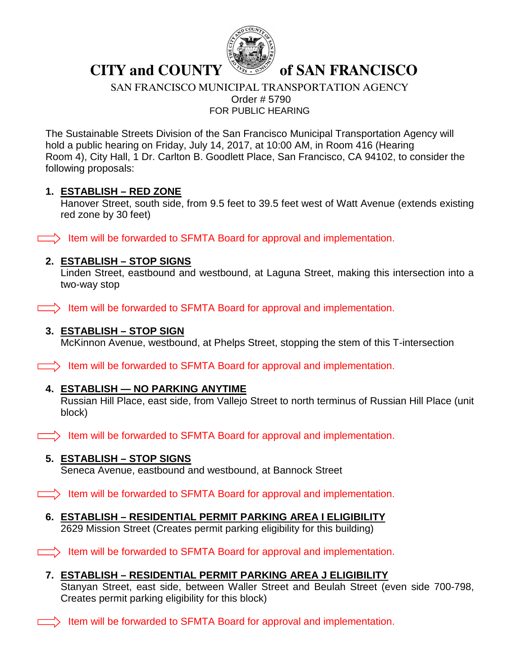

# **CITY and COUNTY Solver SAN FRANCISCO**

SAN FRANCISCO MUNICIPAL TRANSPORTATION AGENCY Order # 5790 FOR PUBLIC HEARING

The Sustainable Streets Division of the San Francisco Municipal Transportation Agency will hold a public hearing on Friday, July 14, 2017, at 10:00 AM, in Room 416 (Hearing Room 4), City Hall, 1 Dr. Carlton B. Goodlett Place, San Francisco, CA 94102, to consider the following proposals:

#### **1. ESTABLISH – RED ZONE**

Hanover Street, south side, from 9.5 feet to 39.5 feet west of Watt Avenue (extends existing red zone by 30 feet)

 $\Rightarrow$  Item will be forwarded to SFMTA Board for approval and implementation.

### **2. ESTABLISH – STOP SIGNS**

Linden Street, eastbound and westbound, at Laguna Street, making this intersection into a two-way stop

 $\Box$ ) Item will be forwarded to SFMTA Board for approval and implementation.

#### **3. ESTABLISH – STOP SIGN**

McKinnon Avenue, westbound, at Phelps Street, stopping the stem of this T-intersection

 $\Box$ ) Item will be forwarded to SFMTA Board for approval and implementation.

### **4. ESTABLISH — NO PARKING ANYTIME**

Russian Hill Place, east side, from Vallejo Street to north terminus of Russian Hill Place (unit block)

 $\equiv$  Item will be forwarded to SFMTA Board for approval and implementation.

### **5. ESTABLISH – STOP SIGNS**

Seneca Avenue, eastbound and westbound, at Bannock Street

 $\Rightarrow$  Item will be forwarded to SFMTA Board for approval and implementation.

**6. ESTABLISH – RESIDENTIAL PERMIT PARKING AREA I ELIGIBILITY**  2629 Mission Street (Creates permit parking eligibility for this building)

 $\Box$ ) Item will be forwarded to SFMTA Board for approval and implementation.

**7. ESTABLISH – RESIDENTIAL PERMIT PARKING AREA J ELIGIBILITY** 

Stanyan Street, east side, between Waller Street and Beulah Street (even side 700-798, Creates permit parking eligibility for this block)

 $\equiv$  Item will be forwarded to SFMTA Board for approval and implementation.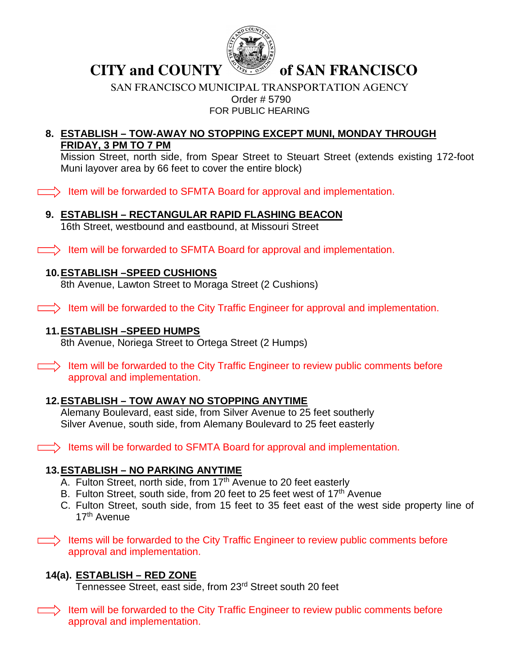

**CITY and COUNTY Section of SAN FRANCISCO** 

#### SAN FRANCISCO MUNICIPAL TRANSPORTATION AGENCY Order # 5790 FOR PUBLIC HEARING

#### **8. ESTABLISH – TOW-AWAY NO STOPPING EXCEPT MUNI, MONDAY THROUGH FRIDAY, 3 PM TO 7 PM**

Mission Street, north side, from Spear Street to Steuart Street (extends existing 172-foot Muni layover area by 66 feet to cover the entire block)

 $\Box$ ) Item will be forwarded to SFMTA Board for approval and implementation.

# **9. ESTABLISH – RECTANGULAR RAPID FLASHING BEACON**

16th Street, westbound and eastbound, at Missouri Street

 $\Box$ ) Item will be forwarded to SFMTA Board for approval and implementation.

## **10.ESTABLISH –SPEED CUSHIONS**

8th Avenue, Lawton Street to Moraga Street (2 Cushions)

 $\Box$ ) Item will be forwarded to the City Traffic Engineer for approval and implementation.

## **11.ESTABLISH –SPEED HUMPS**

8th Avenue, Noriega Street to Ortega Street (2 Humps)

 $\Box$ ) Item will be forwarded to the City Traffic Engineer to review public comments before approval and implementation.

# **12.ESTABLISH – TOW AWAY NO STOPPING ANYTIME**

Alemany Boulevard, east side, from Silver Avenue to 25 feet southerly Silver Avenue, south side, from Alemany Boulevard to 25 feet easterly

 $\Box$ ) Items will be forwarded to SFMTA Board for approval and implementation.

# **13.ESTABLISH – NO PARKING ANYTIME**

- A. Fulton Street, north side, from  $17<sup>th</sup>$  Avenue to 20 feet easterly
- B. Fulton Street, south side, from 20 feet to 25 feet west of 17<sup>th</sup> Avenue
- C. Fulton Street, south side, from 15 feet to 35 feet east of the west side property line of 17th Avenue

 $\Rightarrow$  Items will be forwarded to the City Traffic Engineer to review public comments before approval and implementation.

# **14(a). ESTABLISH – RED ZONE**

Tennessee Street, east side, from 23rd Street south 20 feet

 $\Rightarrow$  Item will be forwarded to the City Traffic Engineer to review public comments before approval and implementation.